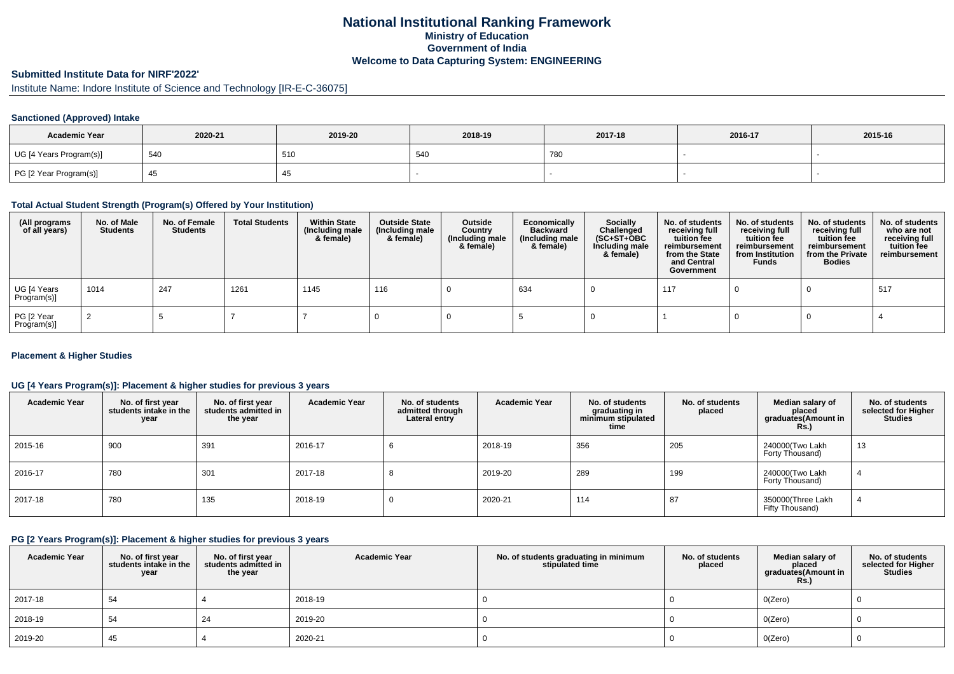## **National Institutional Ranking FrameworkMinistry of Education Government of IndiaWelcome to Data Capturing System: ENGINEERING**

# **Submitted Institute Data for NIRF'2022'**

Institute Name: Indore Institute of Science and Technology [IR-E-C-36075]

#### **Sanctioned (Approved) Intake**

| <b>Academic Year</b>    | 2020-21 | 2019-20 | 2018-19 | 2017-18 | 2016-17 | 2015-16 |
|-------------------------|---------|---------|---------|---------|---------|---------|
| UG [4 Years Program(s)] | 540     | 510     | 540     | 780     |         |         |
| PG [2 Year Program(s)]  |         | 40      |         |         |         |         |

#### **Total Actual Student Strength (Program(s) Offered by Your Institution)**

| (All programs<br>of all years) | No. of Male<br><b>Students</b> | No. of Female<br>Students | <b>Total Students</b> | <b>Within State</b><br>(Including male<br>& female) | <b>Outside State</b><br>(Including male<br>& female) | Outside<br>Country<br>(Including male<br>& female) | Economically<br><b>Backward</b><br>(Including male<br>& female) | <b>Socially</b><br>Challenged<br>$(SC+ST+OBC)$<br>Including male<br>& female) | No. of students<br>receiving full<br>tuition fee<br>reimbursement<br>from the State<br>and Central<br>Government | No. of students<br>receiving full<br>tuition fee<br>reimbursement<br>from Institution<br><b>Funds</b> | No. of students<br>receiving full<br>tuition fee<br>reimbursement<br>from the Private<br><b>Bodies</b> | No. of students<br>who are not<br>receiving full<br>tuition fee<br>reimbursement |
|--------------------------------|--------------------------------|---------------------------|-----------------------|-----------------------------------------------------|------------------------------------------------------|----------------------------------------------------|-----------------------------------------------------------------|-------------------------------------------------------------------------------|------------------------------------------------------------------------------------------------------------------|-------------------------------------------------------------------------------------------------------|--------------------------------------------------------------------------------------------------------|----------------------------------------------------------------------------------|
| UG [4 Years<br>Program(s)]     | 1014                           | 247                       | 1261                  | 1145                                                | 116                                                  |                                                    | 634                                                             |                                                                               | 117                                                                                                              |                                                                                                       |                                                                                                        | 517                                                                              |
| PG [2 Year<br>Program(s)]      |                                |                           |                       |                                                     |                                                      |                                                    |                                                                 |                                                                               |                                                                                                                  |                                                                                                       |                                                                                                        |                                                                                  |

#### **Placement & Higher Studies**

#### **UG [4 Years Program(s)]: Placement & higher studies for previous 3 years**

| <b>Academic Year</b> | No. of first year<br>students intake in the<br>year | No. of first year<br>students admitted in<br>the year | <b>Academic Year</b> | No. of students<br>admitted through<br>Lateral entry | <b>Academic Year</b> | No. of students<br>graduating in<br>minimum stipulated<br>time | No. of students<br>placed | Median salary of<br>placed<br>graduates(Amount in<br>Rs.) | No. of students<br>selected for Higher<br><b>Studies</b> |
|----------------------|-----------------------------------------------------|-------------------------------------------------------|----------------------|------------------------------------------------------|----------------------|----------------------------------------------------------------|---------------------------|-----------------------------------------------------------|----------------------------------------------------------|
| 2015-16              | 900                                                 | 391                                                   | 2016-17              | D                                                    | 2018-19              | 356                                                            | 205                       | 240000(Two Lakh<br>Forty Thousand)                        | 13                                                       |
| 2016-17              | 780                                                 | 301                                                   | 2017-18              |                                                      | 2019-20              | 289                                                            | 199                       | 240000(Two Lakh<br>Forty Thousand)                        |                                                          |
| 2017-18              | 780                                                 | 135                                                   | 2018-19              | 0                                                    | 2020-21              | 114                                                            | 87                        | 350000(Three Lakh<br>Fifty Thousand)                      |                                                          |

#### **PG [2 Years Program(s)]: Placement & higher studies for previous 3 years**

| <b>Academic Year</b> | No. of first year<br>students intake in the<br>year | No. of first year<br>students admitted in<br>the year | <b>Academic Year</b> | No. of students graduating in minimum<br>stipulated time | No. of students<br>placed | Median salary of<br>placed<br>graduates(Amount in<br><b>Rs.)</b> | No. of students<br>selected for Higher<br><b>Studies</b> |
|----------------------|-----------------------------------------------------|-------------------------------------------------------|----------------------|----------------------------------------------------------|---------------------------|------------------------------------------------------------------|----------------------------------------------------------|
| 2017-18              | 54                                                  |                                                       | 2018-19              |                                                          |                           | O(Zero)                                                          |                                                          |
| 2018-19              | 54                                                  | 24                                                    | 2019-20              |                                                          |                           | O(Zero)                                                          |                                                          |
| 2019-20              | 45                                                  |                                                       | 2020-21              |                                                          |                           | O(Zero)                                                          |                                                          |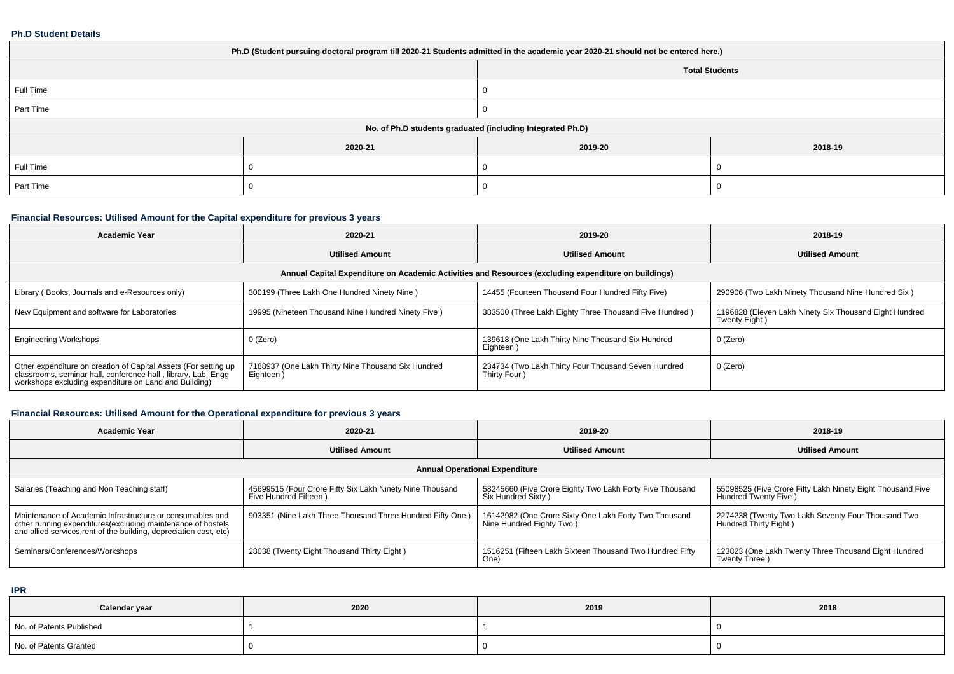#### **Ph.D Student Details**

| Ph.D (Student pursuing doctoral program till 2020-21 Students admitted in the academic year 2020-21 should not be entered here.) |         |         |         |  |  |  |  |
|----------------------------------------------------------------------------------------------------------------------------------|---------|---------|---------|--|--|--|--|
| <b>Total Students</b>                                                                                                            |         |         |         |  |  |  |  |
| Full Time<br>0                                                                                                                   |         |         |         |  |  |  |  |
| Part Time                                                                                                                        |         |         |         |  |  |  |  |
| No. of Ph.D students graduated (including Integrated Ph.D)                                                                       |         |         |         |  |  |  |  |
|                                                                                                                                  | 2020-21 | 2019-20 | 2018-19 |  |  |  |  |
| Full Time                                                                                                                        |         |         |         |  |  |  |  |
| Part Time                                                                                                                        |         |         |         |  |  |  |  |

### **Financial Resources: Utilised Amount for the Capital expenditure for previous 3 years**

| <b>Academic Year</b>                                                                                                                                                                   | 2020-21                                                        | 2019-20                                                             | 2018-19                                                                 |  |  |  |  |  |  |
|----------------------------------------------------------------------------------------------------------------------------------------------------------------------------------------|----------------------------------------------------------------|---------------------------------------------------------------------|-------------------------------------------------------------------------|--|--|--|--|--|--|
|                                                                                                                                                                                        | <b>Utilised Amount</b>                                         | <b>Utilised Amount</b>                                              | <b>Utilised Amount</b>                                                  |  |  |  |  |  |  |
| Annual Capital Expenditure on Academic Activities and Resources (excluding expenditure on buildings)                                                                                   |                                                                |                                                                     |                                                                         |  |  |  |  |  |  |
| Library (Books, Journals and e-Resources only)                                                                                                                                         | 300199 (Three Lakh One Hundred Ninety Nine)                    | 14455 (Fourteen Thousand Four Hundred Fifty Five)                   | 290906 (Two Lakh Ninety Thousand Nine Hundred Six)                      |  |  |  |  |  |  |
| New Equipment and software for Laboratories                                                                                                                                            | 19995 (Nineteen Thousand Nine Hundred Ninety Five)             | 383500 (Three Lakh Eighty Three Thousand Five Hundred)              | 1196828 (Eleven Lakh Ninety Six Thousand Eight Hundred<br>Twenty Eight) |  |  |  |  |  |  |
| <b>Engineering Workshops</b>                                                                                                                                                           | 0 (Zero)                                                       | 139618 (One Lakh Thirty Nine Thousand Six Hundred<br>Eighteen )     | 0 (Zero)                                                                |  |  |  |  |  |  |
| Other expenditure on creation of Capital Assets (For setting up classrooms, seminar hall, conference hall, library, Lab, Engg<br>workshops excluding expenditure on Land and Building) | 7188937 (One Lakh Thirty Nine Thousand Six Hundred<br>Eighteen | 234734 (Two Lakh Thirty Four Thousand Seven Hundred<br>Thirty Four) | 0 (Zero)                                                                |  |  |  |  |  |  |

### **Financial Resources: Utilised Amount for the Operational expenditure for previous 3 years**

| <b>Academic Year</b>                                                                                                                                                                            | 2020-21                                                                           | 2019-20                                                                            | 2018-19                                                                             |  |  |  |  |  |  |
|-------------------------------------------------------------------------------------------------------------------------------------------------------------------------------------------------|-----------------------------------------------------------------------------------|------------------------------------------------------------------------------------|-------------------------------------------------------------------------------------|--|--|--|--|--|--|
|                                                                                                                                                                                                 | <b>Utilised Amount</b>                                                            | <b>Utilised Amount</b>                                                             | <b>Utilised Amount</b>                                                              |  |  |  |  |  |  |
| <b>Annual Operational Expenditure</b>                                                                                                                                                           |                                                                                   |                                                                                    |                                                                                     |  |  |  |  |  |  |
| Salaries (Teaching and Non Teaching staff)                                                                                                                                                      | 45699515 (Four Crore Fifty Six Lakh Ninety Nine Thousand<br>Five Hundred Fifteen) | 58245660 (Five Crore Eighty Two Lakh Forty Five Thousand<br>Six Hundred Sixty)     | 55098525 (Five Crore Fifty Lakh Ninety Eight Thousand Five<br>Hundred Twenty Five ) |  |  |  |  |  |  |
| Maintenance of Academic Infrastructure or consumables and<br>other running expenditures (excluding maintenance of hostels<br>and allied services, rent of the building, depreciation cost, etc) | 903351 (Nine Lakh Three Thousand Three Hundred Fifty One)                         | 16142982 (One Crore Sixty One Lakh Forty Two Thousand<br>Nine Hundred Eighty Two ) | 2274238 (Twenty Two Lakh Seventy Four Thousand Two<br>Hundred Thirty Eight)         |  |  |  |  |  |  |
| Seminars/Conferences/Workshops                                                                                                                                                                  | 28038 (Twenty Eight Thousand Thirty Eight)                                        | 1516251 (Fifteen Lakh Sixteen Thousand Two Hundred Fifty<br>One)                   | 123823 (One Lakh Twenty Three Thousand Eight Hundred<br>Twenty Three)               |  |  |  |  |  |  |

**IPR**

| Calendar year            | 2020 | 2019 | 2018 |
|--------------------------|------|------|------|
| No. of Patents Published |      |      |      |
| No. of Patents Granted   |      |      |      |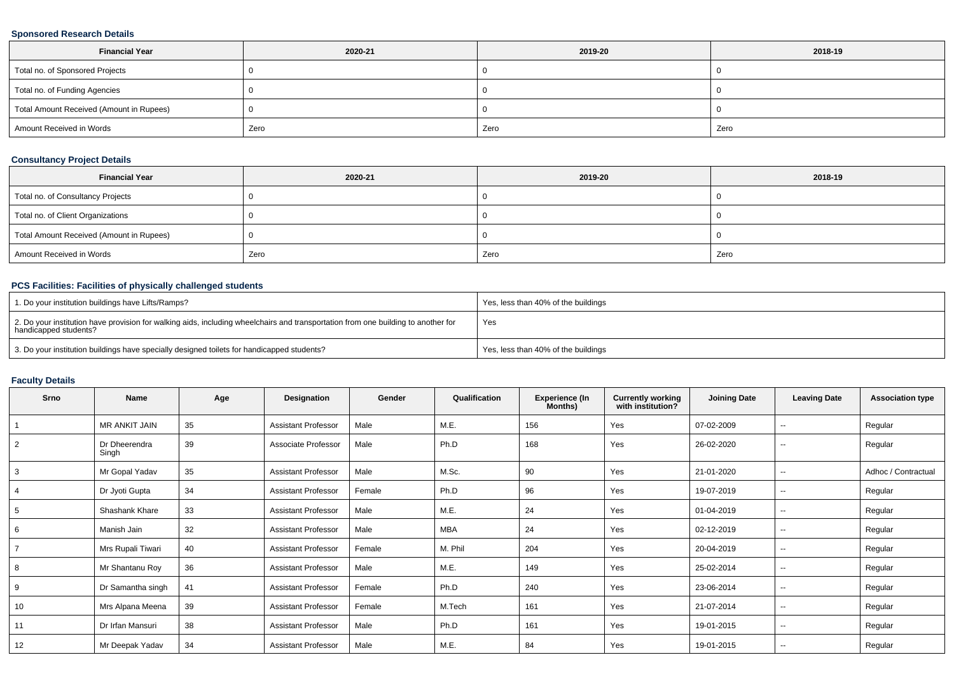### **Sponsored Research Details**

| <b>Financial Year</b>                    | 2020-21 | 2019-20 | 2018-19 |
|------------------------------------------|---------|---------|---------|
| Total no. of Sponsored Projects          |         |         |         |
| Total no. of Funding Agencies            |         |         |         |
| Total Amount Received (Amount in Rupees) |         |         |         |
| Amount Received in Words                 | Zero    | Zero    | Zero    |

### **Consultancy Project Details**

| <b>Financial Year</b>                    | 2020-21 | 2019-20 | 2018-19 |
|------------------------------------------|---------|---------|---------|
| Total no. of Consultancy Projects        |         |         |         |
| Total no. of Client Organizations        |         |         |         |
| Total Amount Received (Amount in Rupees) |         |         |         |
| Amount Received in Words                 | Zero    | Zero    | Zero    |

### **PCS Facilities: Facilities of physically challenged students**

| 1. Do your institution buildings have Lifts/Ramps?                                                                                                         | Yes, less than 40% of the buildings |
|------------------------------------------------------------------------------------------------------------------------------------------------------------|-------------------------------------|
| 2. Do your institution have provision for walking aids, including wheelchairs and transportation from one building to another for<br>handicapped students? | Yes                                 |
| 3. Do your institution buildings have specially designed toilets for handicapped students?                                                                 | Yes, less than 40% of the buildings |

### **Faculty Details**

| Srno           | Name                   | Age | Designation                | Gender | Qualification | <b>Experience (In</b><br>Months) | <b>Currently working</b><br>with institution? | <b>Joining Date</b> | <b>Leaving Date</b>      | <b>Association type</b> |
|----------------|------------------------|-----|----------------------------|--------|---------------|----------------------------------|-----------------------------------------------|---------------------|--------------------------|-------------------------|
|                | MR ANKIT JAIN          | 35  | <b>Assistant Professor</b> | Male   | M.E.          | 156                              | Yes                                           | 07-02-2009          | $\sim$                   | Regular                 |
| $\overline{2}$ | Dr Dheerendra<br>Singh | 39  | Associate Professor        | Male   | Ph.D          | 168                              | Yes                                           | 26-02-2020          | $\sim$                   | Regular                 |
| 3              | Mr Gopal Yadav         | 35  | <b>Assistant Professor</b> | Male   | M.Sc.         | 90                               | Yes                                           | 21-01-2020          | $\overline{\phantom{a}}$ | Adhoc / Contractual     |
| $\overline{4}$ | Dr Jyoti Gupta         | 34  | <b>Assistant Professor</b> | Female | Ph.D          | 96                               | Yes                                           | 19-07-2019          | $\sim$                   | Regular                 |
| 5              | Shashank Khare         | 33  | <b>Assistant Professor</b> | Male   | M.E.          | 24                               | Yes                                           | 01-04-2019          | $\sim$                   | Regular                 |
| 6              | Manish Jain            | 32  | <b>Assistant Professor</b> | Male   | <b>MBA</b>    | 24                               | Yes                                           | 02-12-2019          | $\sim$                   | Regular                 |
|                | Mrs Rupali Tiwari      | 40  | <b>Assistant Professor</b> | Female | M. Phil       | 204                              | Yes                                           | 20-04-2019          | $\sim$                   | Regular                 |
| 8              | Mr Shantanu Roy        | 36  | <b>Assistant Professor</b> | Male   | M.E.          | 149                              | Yes                                           | 25-02-2014          | $\sim$                   | Regular                 |
| 9              | Dr Samantha singh      | 41  | <b>Assistant Professor</b> | Female | Ph.D          | 240                              | Yes                                           | 23-06-2014          | $\sim$                   | Regular                 |
| 10             | Mrs Alpana Meena       | 39  | <b>Assistant Professor</b> | Female | M.Tech        | 161                              | Yes                                           | 21-07-2014          | $\overline{\phantom{a}}$ | Regular                 |
| 11             | Dr Irfan Mansuri       | 38  | <b>Assistant Professor</b> | Male   | Ph.D          | 161                              | Yes                                           | 19-01-2015          | $\sim$                   | Regular                 |
| 12             | Mr Deepak Yadav        | 34  | <b>Assistant Professor</b> | Male   | M.E.          | 84                               | Yes                                           | 19-01-2015          | $\sim$                   | Regular                 |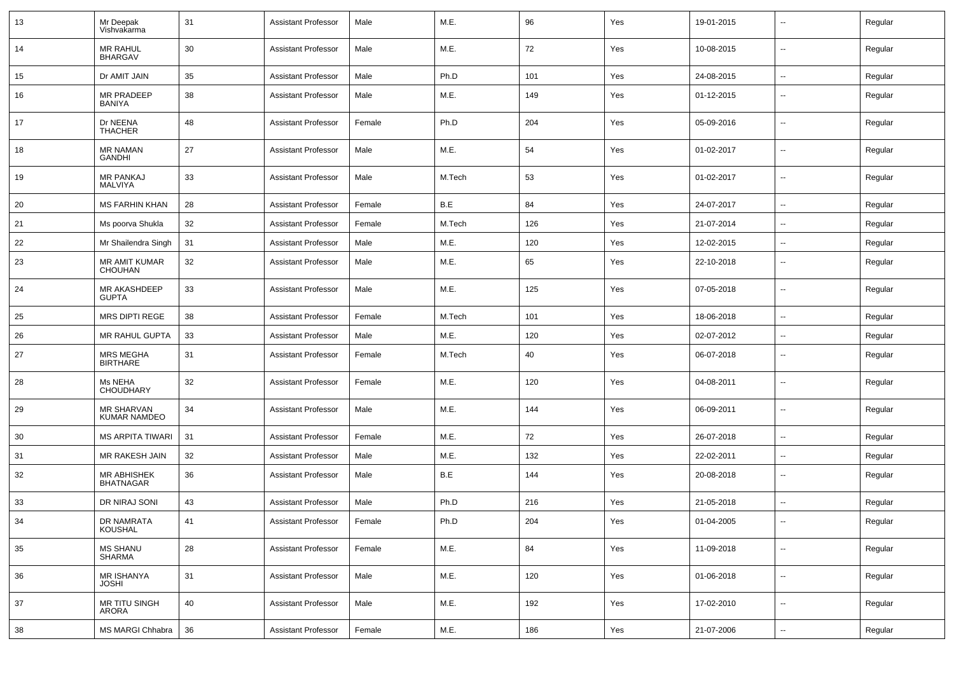| 13 | Mr Deepak<br>Vishvakarma                 | 31 | <b>Assistant Professor</b> | Male   | M.E.   | 96  | Yes | 19-01-2015 |                          | Regular |
|----|------------------------------------------|----|----------------------------|--------|--------|-----|-----|------------|--------------------------|---------|
| 14 | <b>MR RAHUL</b><br><b>BHARGAV</b>        | 30 | <b>Assistant Professor</b> | Male   | M.E.   | 72  | Yes | 10-08-2015 | $\overline{\phantom{a}}$ | Regular |
| 15 | Dr AMIT JAIN                             | 35 | <b>Assistant Professor</b> | Male   | Ph.D   | 101 | Yes | 24-08-2015 | $\overline{\phantom{a}}$ | Regular |
| 16 | MR PRADEEP<br><b>BANIYA</b>              | 38 | <b>Assistant Professor</b> | Male   | M.E.   | 149 | Yes | 01-12-2015 | --                       | Regular |
| 17 | Dr NEENA<br><b>THACHER</b>               | 48 | <b>Assistant Professor</b> | Female | Ph.D   | 204 | Yes | 05-09-2016 | $\overline{\phantom{a}}$ | Regular |
| 18 | <b>MR NAMAN</b><br>GANDHI                | 27 | <b>Assistant Professor</b> | Male   | M.E.   | 54  | Yes | 01-02-2017 | --                       | Regular |
| 19 | <b>MR PANKAJ</b><br>MALVIYA              | 33 | <b>Assistant Professor</b> | Male   | M.Tech | 53  | Yes | 01-02-2017 | $\overline{\phantom{a}}$ | Regular |
| 20 | <b>MS FARHIN KHAN</b>                    | 28 | <b>Assistant Professor</b> | Female | B.E    | 84  | Yes | 24-07-2017 | $\overline{\phantom{a}}$ | Regular |
| 21 | Ms poorva Shukla                         | 32 | <b>Assistant Professor</b> | Female | M.Tech | 126 | Yes | 21-07-2014 | $\overline{\phantom{a}}$ | Regular |
| 22 | Mr Shailendra Singh                      | 31 | <b>Assistant Professor</b> | Male   | M.E.   | 120 | Yes | 12-02-2015 | $\overline{\phantom{a}}$ | Regular |
| 23 | <b>MR AMIT KUMAR</b><br><b>CHOUHAN</b>   | 32 | <b>Assistant Professor</b> | Male   | M.E.   | 65  | Yes | 22-10-2018 | $\overline{\phantom{a}}$ | Regular |
| 24 | MR AKASHDEEP<br><b>GUPTA</b>             | 33 | <b>Assistant Professor</b> | Male   | M.E.   | 125 | Yes | 07-05-2018 | $\overline{\phantom{a}}$ | Regular |
| 25 | <b>MRS DIPTI REGE</b>                    | 38 | <b>Assistant Professor</b> | Female | M.Tech | 101 | Yes | 18-06-2018 | $\overline{\phantom{a}}$ | Regular |
| 26 | MR RAHUL GUPTA                           | 33 | <b>Assistant Professor</b> | Male   | M.E.   | 120 | Yes | 02-07-2012 | $\overline{\phantom{a}}$ | Regular |
| 27 | <b>MRS MEGHA</b><br><b>BIRTHARE</b>      | 31 | <b>Assistant Professor</b> | Female | M.Tech | 40  | Yes | 06-07-2018 | --                       | Regular |
| 28 | Ms NEHA<br><b>CHOUDHARY</b>              | 32 | <b>Assistant Professor</b> | Female | M.E.   | 120 | Yes | 04-08-2011 | $\overline{\phantom{a}}$ | Regular |
| 29 | <b>MR SHARVAN</b><br><b>KUMAR NAMDEO</b> | 34 | <b>Assistant Professor</b> | Male   | M.E.   | 144 | Yes | 06-09-2011 | $\overline{\phantom{a}}$ | Regular |
| 30 | <b>MS ARPITA TIWARI</b>                  | 31 | <b>Assistant Professor</b> | Female | M.E.   | 72  | Yes | 26-07-2018 | --                       | Regular |
| 31 | MR RAKESH JAIN                           | 32 | <b>Assistant Professor</b> | Male   | M.E.   | 132 | Yes | 22-02-2011 | $\overline{\phantom{a}}$ | Regular |
| 32 | MR ABHISHEK<br><b>BHATNAGAR</b>          | 36 | <b>Assistant Professor</b> | Male   | B.E    | 144 | Yes | 20-08-2018 | $\overline{\phantom{a}}$ | Regular |
| 33 | DR NIRAJ SONI                            | 43 | <b>Assistant Professor</b> | Male   | Ph.D   | 216 | Yes | 21-05-2018 | --                       | Regular |
| 34 | DR NAMRATA<br>KOUSHAL                    | 41 | Assistant Professor        | Female | Ph.D   | 204 | Yes | 01-04-2005 |                          | Regular |
| 35 | MS SHANU<br>SHARMA                       | 28 | <b>Assistant Professor</b> | Female | M.E.   | 84  | Yes | 11-09-2018 | ш.                       | Regular |
| 36 | MR ISHANYA<br><b>JOSHI</b>               | 31 | <b>Assistant Professor</b> | Male   | M.E.   | 120 | Yes | 01-06-2018 | н.                       | Regular |
| 37 | MR TITU SINGH<br>ARORA                   | 40 | <b>Assistant Professor</b> | Male   | M.E.   | 192 | Yes | 17-02-2010 | $\overline{\phantom{a}}$ | Regular |
| 38 | MS MARGI Chhabra                         | 36 | <b>Assistant Professor</b> | Female | M.E.   | 186 | Yes | 21-07-2006 | $\sim$                   | Regular |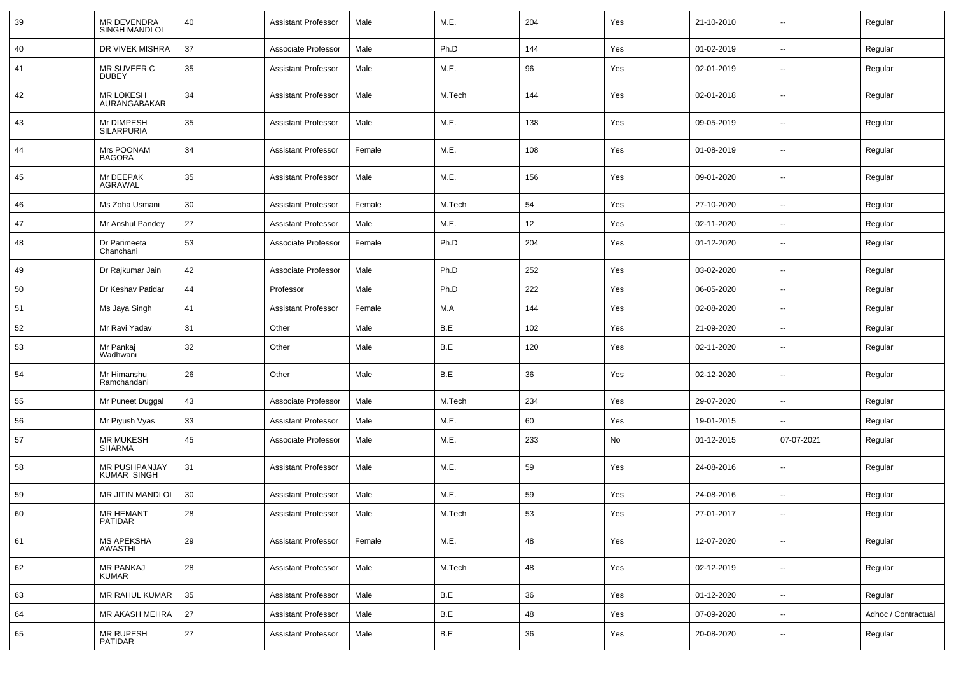| 39 | MR DEVENDRA<br><b>SINGH MANDLOI</b> | 40 | <b>Assistant Professor</b> | Male   | M.E.   | 204 | Yes | 21-10-2010 |                          | Regular             |
|----|-------------------------------------|----|----------------------------|--------|--------|-----|-----|------------|--------------------------|---------------------|
| 40 | DR VIVEK MISHRA                     | 37 | Associate Professor        | Male   | Ph.D   | 144 | Yes | 01-02-2019 | $\overline{\phantom{a}}$ | Regular             |
| 41 | MR SUVEER C<br><b>DUBEY</b>         | 35 | <b>Assistant Professor</b> | Male   | M.E.   | 96  | Yes | 02-01-2019 | $\overline{\phantom{a}}$ | Regular             |
| 42 | <b>MR LOKESH</b><br>AURANGABAKAR    | 34 | <b>Assistant Professor</b> | Male   | M.Tech | 144 | Yes | 02-01-2018 | $\overline{\phantom{a}}$ | Regular             |
| 43 | Mr DIMPESH<br><b>SILARPURIA</b>     | 35 | <b>Assistant Professor</b> | Male   | M.E.   | 138 | Yes | 09-05-2019 | $\overline{\phantom{a}}$ | Regular             |
| 44 | Mrs POONAM<br><b>BAGORA</b>         | 34 | <b>Assistant Professor</b> | Female | M.E.   | 108 | Yes | 01-08-2019 | $\overline{\phantom{a}}$ | Regular             |
| 45 | Mr DEEPAK<br>AGRAWAL                | 35 | <b>Assistant Professor</b> | Male   | M.E.   | 156 | Yes | 09-01-2020 | $\overline{\phantom{a}}$ | Regular             |
| 46 | Ms Zoha Usmani                      | 30 | <b>Assistant Professor</b> | Female | M.Tech | 54  | Yes | 27-10-2020 | $\overline{\phantom{a}}$ | Regular             |
| 47 | Mr Anshul Pandey                    | 27 | <b>Assistant Professor</b> | Male   | M.E.   | 12  | Yes | 02-11-2020 | --                       | Regular             |
| 48 | Dr Parimeeta<br>Chanchani           | 53 | Associate Professor        | Female | Ph.D   | 204 | Yes | 01-12-2020 | --                       | Regular             |
| 49 | Dr Rajkumar Jain                    | 42 | Associate Professor        | Male   | Ph.D   | 252 | Yes | 03-02-2020 | --                       | Regular             |
| 50 | Dr Keshav Patidar                   | 44 | Professor                  | Male   | Ph.D   | 222 | Yes | 06-05-2020 | $\overline{\phantom{a}}$ | Regular             |
| 51 | Ms Jaya Singh                       | 41 | Assistant Professor        | Female | M.A    | 144 | Yes | 02-08-2020 | н.                       | Regular             |
| 52 | Mr Ravi Yadav                       | 31 | Other                      | Male   | B.E    | 102 | Yes | 21-09-2020 | --                       | Regular             |
| 53 | Mr Pankaj<br>Wadhwani               | 32 | Other                      | Male   | B.E    | 120 | Yes | 02-11-2020 | $\overline{\phantom{a}}$ | Regular             |
| 54 | Mr Himanshu<br>Ramchandani          | 26 | Other                      | Male   | B.E    | 36  | Yes | 02-12-2020 | $\overline{\phantom{a}}$ | Regular             |
| 55 | Mr Puneet Duggal                    | 43 | Associate Professor        | Male   | M.Tech | 234 | Yes | 29-07-2020 | -−                       | Regular             |
| 56 | Mr Piyush Vyas                      | 33 | <b>Assistant Professor</b> | Male   | M.E.   | 60  | Yes | 19-01-2015 | --                       | Regular             |
| 57 | <b>MR MUKESH</b><br><b>SHARMA</b>   | 45 | Associate Professor        | Male   | M.E.   | 233 | No  | 01-12-2015 | 07-07-2021               | Regular             |
| 58 | MR PUSHPANJAY<br><b>KUMAR SINGH</b> | 31 | <b>Assistant Professor</b> | Male   | M.E.   | 59  | Yes | 24-08-2016 | --                       | Regular             |
| 59 | <b>MR JITIN MANDLOI</b>             | 30 | <b>Assistant Professor</b> | Male   | M.E.   | 59  | Yes | 24-08-2016 | --                       | Regular             |
| 60 | <b>MR HEMANT</b><br>PATIDAR         | 28 | <b>Assistant Professor</b> | Male   | M.Tech | 53  | Yes | 27-01-2017 | $\overline{\phantom{a}}$ | Regular             |
| 61 | MS APEKSHA<br>AWASTHI               | 29 | <b>Assistant Professor</b> | Female | M.E.   | 48  | Yes | 12-07-2020 | $\sim$                   | Regular             |
| 62 | <b>MR PANKAJ</b><br><b>KUMAR</b>    | 28 | <b>Assistant Professor</b> | Male   | M.Tech | 48  | Yes | 02-12-2019 | н.                       | Regular             |
| 63 | MR RAHUL KUMAR                      | 35 | Assistant Professor        | Male   | B.E    | 36  | Yes | 01-12-2020 | н.                       | Regular             |
| 64 | MR AKASH MEHRA                      | 27 | <b>Assistant Professor</b> | Male   | B.E    | 48  | Yes | 07-09-2020 | $\sim$                   | Adhoc / Contractual |
| 65 | MR RUPESH<br>PATIDAR                | 27 | <b>Assistant Professor</b> | Male   | B.E    | 36  | Yes | 20-08-2020 | н.                       | Regular             |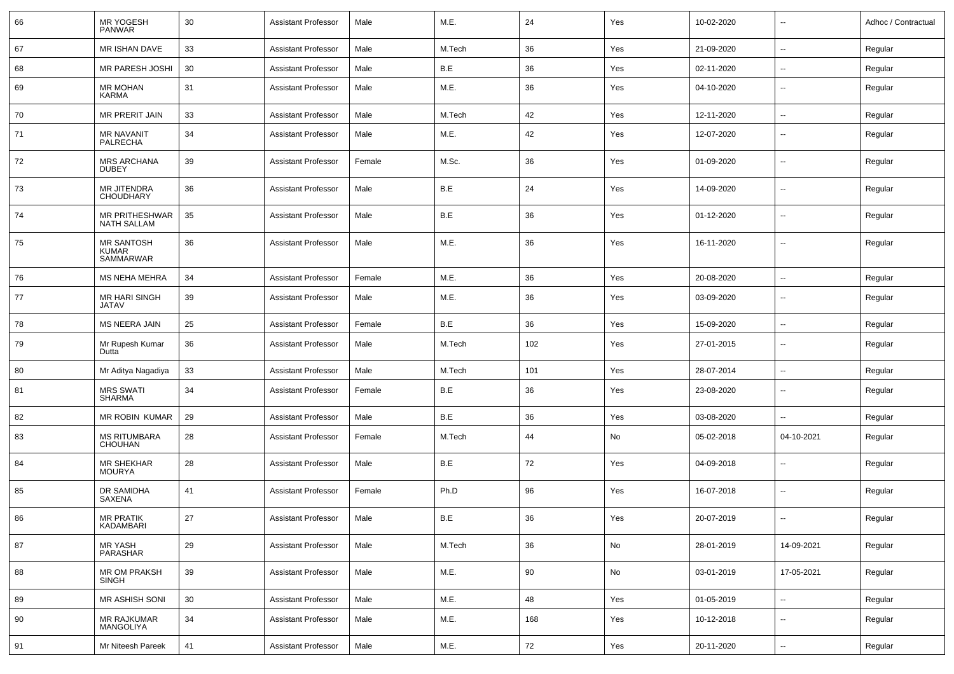| 66 | <b>MR YOGESH</b><br><b>PANWAR</b>                     | 30     | <b>Assistant Professor</b> | Male   | M.E.                  | 24  | Yes | 10-02-2020 | $\sim$                   | Adhoc / Contractual |
|----|-------------------------------------------------------|--------|----------------------------|--------|-----------------------|-----|-----|------------|--------------------------|---------------------|
| 67 | MR ISHAN DAVE                                         | 33     | <b>Assistant Professor</b> | Male   | M.Tech                | 36  | Yes | 21-09-2020 | $\sim$                   | Regular             |
| 68 | <b>MR PARESH JOSHI</b>                                | 30     | <b>Assistant Professor</b> | Male   | B.E                   | 36  | Yes | 02-11-2020 | Ξ.                       | Regular             |
| 69 | <b>MR MOHAN</b><br><b>KARMA</b>                       | 31     | <b>Assistant Professor</b> | Male   | M.E.                  | 36  | Yes | 04-10-2020 | $\overline{\phantom{a}}$ | Regular             |
| 70 | MR PRERIT JAIN                                        | 33     | <b>Assistant Professor</b> | Male   | M.Tech                | 42  | Yes | 12-11-2020 | Ξ.                       | Regular             |
| 71 | <b>MR NAVANIT</b><br>PALRECHA                         | 34     | <b>Assistant Professor</b> | Male   | M.E.                  | 42  | Yes | 12-07-2020 | --                       | Regular             |
| 72 | <b>MRS ARCHANA</b><br><b>DUBEY</b>                    | 39     | <b>Assistant Professor</b> | Female | M.Sc.                 | 36  | Yes | 01-09-2020 | $\overline{a}$           | Regular             |
| 73 | <b>MR JITENDRA</b><br><b>CHOUDHARY</b>                | 36     | <b>Assistant Professor</b> | Male   | B.E                   | 24  | Yes | 14-09-2020 | $\overline{a}$           | Regular             |
| 74 | MR PRITHESHWAR<br><b>NATH SALLAM</b>                  | 35     | <b>Assistant Professor</b> | Male   | B.E                   | 36  | Yes | 01-12-2020 | $\overline{a}$           | Regular             |
| 75 | <b>MR SANTOSH</b><br><b>KUMAR</b><br><b>SAMMARWAR</b> | 36     | <b>Assistant Professor</b> | Male   | M.E.                  | 36  | Yes | 16-11-2020 | $\overline{a}$           | Regular             |
| 76 | <b>MS NEHA MEHRA</b>                                  | 34     | <b>Assistant Professor</b> | Female | M.E.                  | 36  | Yes | 20-08-2020 | $\overline{a}$           | Regular             |
| 77 | MR HARI SINGH<br><b>JATAV</b>                         | 39     | <b>Assistant Professor</b> | Male   | M.E.                  | 36  | Yes | 03-09-2020 | $\overline{a}$           | Regular             |
| 78 | <b>MS NEERA JAIN</b>                                  | 25     | <b>Assistant Professor</b> | Female | B.E                   | 36  | Yes | 15-09-2020 | $\overline{\phantom{a}}$ | Regular             |
| 79 | Mr Rupesh Kumar<br>Dutta                              | 36     | <b>Assistant Professor</b> | Male   | M.Tech                | 102 | Yes | 27-01-2015 |                          | Regular             |
| 80 | Mr Aditya Nagadiya                                    | 33     | <b>Assistant Professor</b> | Male   | M.Tech                | 101 | Yes | 28-07-2014 | $\overline{\phantom{a}}$ | Regular             |
| 81 | <b>MRS SWATI</b><br><b>SHARMA</b>                     | 34     | <b>Assistant Professor</b> | Female | B.E                   | 36  | Yes | 23-08-2020 | $\sim$                   | Regular             |
| 82 | MR ROBIN KUMAR                                        | 29     | <b>Assistant Professor</b> | Male   | B.E                   | 36  | Yes | 03-08-2020 | $\overline{a}$           | Regular             |
| 83 | <b>MS RITUMBARA</b><br>CHOUHAN                        | 28     | <b>Assistant Professor</b> | Female | M.Tech                | 44  | No  | 05-02-2018 | 04-10-2021               | Regular             |
| 84 | <b>MR SHEKHAR</b><br><b>MOURYA</b>                    | 28     | <b>Assistant Professor</b> | Male   | B.E                   | 72  | Yes | 04-09-2018 | $\sim$                   | Regular             |
| 85 | DR SAMIDHA<br>SAXENA                                  | 41     | <b>Assistant Professor</b> | Female | Ph.D                  | 96  | Yes | 16-07-2018 | $\overline{\phantom{a}}$ | Regular             |
| 86 | <b>MR PRATIK</b><br>KADAMBARI                         | 27     | Assistant Professor        | Male   | $\mathsf B.\mathsf E$ | 36  | Yes | 20-07-2019 |                          | Regular             |
| 87 | <b>MR YASH</b><br>PARASHAR                            | 29     | <b>Assistant Professor</b> | Male   | M.Tech                | 36  | No  | 28-01-2019 | 14-09-2021               | Regular             |
| 88 | MR OM PRAKSH<br>SINGH                                 | 39     | <b>Assistant Professor</b> | Male   | M.E.                  | 90  | No  | 03-01-2019 | 17-05-2021               | Regular             |
| 89 | MR ASHISH SONI                                        | $30\,$ | <b>Assistant Professor</b> | Male   | M.E.                  | 48  | Yes | 01-05-2019 | ц.                       | Regular             |
| 90 | MR RAJKUMAR<br>MANGOLIYA                              | 34     | <b>Assistant Professor</b> | Male   | M.E.                  | 168 | Yes | 10-12-2018 | $\overline{\phantom{a}}$ | Regular             |
| 91 | Mr Niteesh Pareek                                     | 41     | <b>Assistant Professor</b> | Male   | M.E.                  | 72  | Yes | 20-11-2020 | $\sim$                   | Regular             |